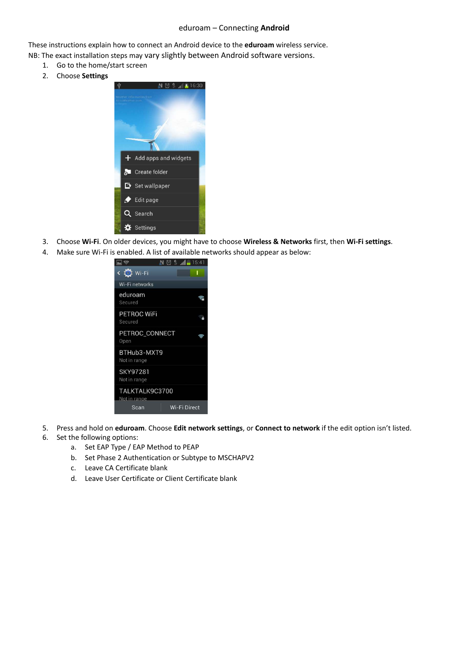## eduroam – Connecting **Android**

These instructions explain how to connect an Android device to the **eduroam** wireless service.

- NB: The exact installation steps may vary slightly between Android software versions.
	- 1. Go to the home/start screen
	- 2. Choose **Settings**



- 3. Choose **Wi-Fi**. On older devices, you might have to choose **Wireless & Networks** first, then **Wi-Fi settings**.
- 4. Make sure Wi-Fi is enabled. A list of available networks should appear as below:



- 5. Press and hold on **eduroam**. Choose **Edit network settings**, or **Connect to network** if the edit option isn't listed.
- 6. Set the following options:
	- a. Set EAP Type / EAP Method to PEAP
	- b. Set Phase 2 Authentication or Subtype to MSCHAPV2
	- c. Leave CA Certificate blank
	- d. Leave User Certificate or Client Certificate blank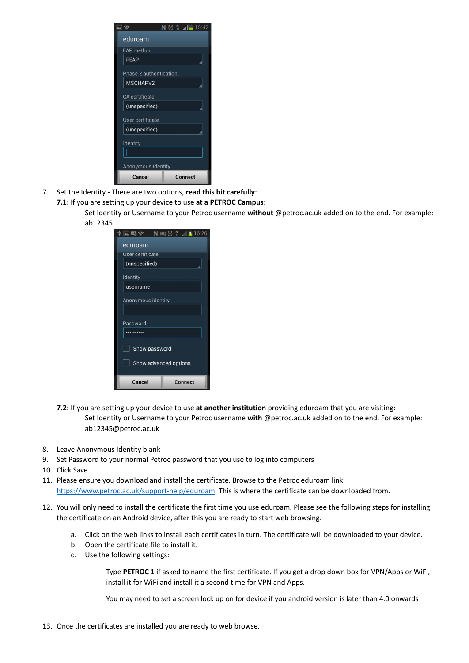|                        | $\circ$ $\circ$ $\bullet$ $\bullet$ 15:42 |  |
|------------------------|-------------------------------------------|--|
| eduroam                |                                           |  |
| <b>EAP</b> method      |                                           |  |
| <b>PFAP</b>            |                                           |  |
| Phase 2 authentication |                                           |  |
| MSCHAPV2               |                                           |  |
| <b>CA</b> certificate  |                                           |  |
| (unspecified)          |                                           |  |
| User certificate       |                                           |  |
| (unspecified)          |                                           |  |
| Identity               |                                           |  |
|                        |                                           |  |
| Anonymous identity     |                                           |  |
| Cancel                 | Connect                                   |  |

- 7. Set the Identity There are two options, **read this bit carefully**:
	- **7.1:** If you are setting up your device to use **at a PETROC Campus**:
		- Set Identity or Username to your Petroc username **without** @petroc.ac.uk added on to the end. For example: ab12345

| 又の                    | $\mathbb{N} \otimes \mathbb{S}$<br>16:26 |  |
|-----------------------|------------------------------------------|--|
| eduroam               |                                          |  |
| User certificate      |                                          |  |
| (unspecified)         |                                          |  |
| Identity              |                                          |  |
| username              |                                          |  |
| Anonymous identity    |                                          |  |
| Password              |                                          |  |
|                       |                                          |  |
| Show password         |                                          |  |
| Show advanced options |                                          |  |
| Cancel                | <b>Connect</b>                           |  |

- **7.2:** If you are setting up your device to use **at another institution** providing eduroam that you are visiting: Set Identity or Username to your Petroc username **with** @petroc.ac.uk added on to the end. For example: ab12345@petroc.ac.uk
- 8. Leave Anonymous Identity blank
- 9. Set Password to your normal Petroc password that you use to log into computers
- 10. Click Save
- 11. Please ensure you download and install the certificate. Browse to the Petroc eduroam link: <https://www.petroc.ac.uk/support-help/eduroam>. This is where the certificate can be downloaded from.
- 12. You will only need to install the certificate the first time you use eduroam. Please see the following steps for installing the certificate on an Android device, after this you are ready to start web browsing.
	- a. Click on the web links to install each certificates in turn. The certificate will be downloaded to your device.
	- b. Open the certificate file to install it.
	- c. Use the following settings:

Type **PETROC 1** if asked to name the first certificate. If you get a drop down box for VPN/Apps or WiFi, install it for WiFi and install it a second time for VPN and Apps.

You may need to set a screen lock up on for device if you android version is later than 4.0 onwards

13. Once the certificates are installed you are ready to web browse.